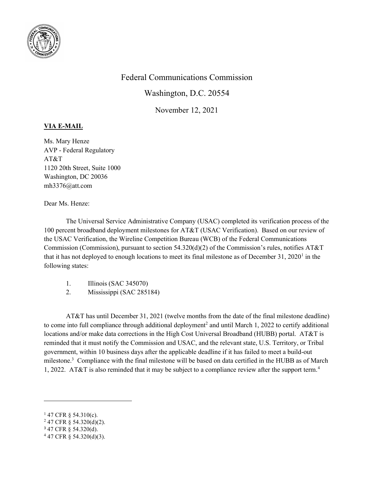

## Federal Communications Commission

Washington, D.C. 20554

November 12, 2021

## VIA E-MAIL

Ms. Mary Henze AVP - Federal Regulatory AT&T 1120 20th Street, Suite 1000 Washington, DC 20036 mh3376@att.com

Dear Ms. Henze:

The Universal Service Administrative Company (USAC) completed its verification process of the 100 percent broadband deployment milestones for AT&T (USAC Verification). Based on our review of the USAC Verification, the Wireline Competition Bureau (WCB) of the Federal Communications Commission (Commission), pursuant to section 54.320(d)(2) of the Commission's rules, notifies  $AT&T$ that it has not deployed to enough locations to meet its final milestone as of December 31, 2020<sup>1</sup> in the following states:

- 1. Illinois (SAC 345070)
- 2. Mississippi (SAC 285184)

AT&T has until December 31, 2021 (twelve months from the date of the final milestone deadline) to come into full compliance through additional deployment<sup>2</sup> and until March 1, 2022 to certify additional locations and/or make data corrections in the High Cost Universal Broadband (HUBB) portal. AT&T is reminded that it must notify the Commission and USAC, and the relevant state, U.S. Territory, or Tribal government, within 10 business days after the applicable deadline if it has failed to meet a build-out milestone.<sup>3</sup> Compliance with the final milestone will be based on data certified in the HUBB as of March 1, 2022. AT&T is also reminded that it may be subject to a compliance review after the support term.<sup>4</sup>

 $147$  CFR § 54.310(c).

 $247$  CFR § 54.320(d)(2).

<sup>3</sup> 47 CFR § 54.320(d).

 $447$  CFR § 54.320(d)(3).